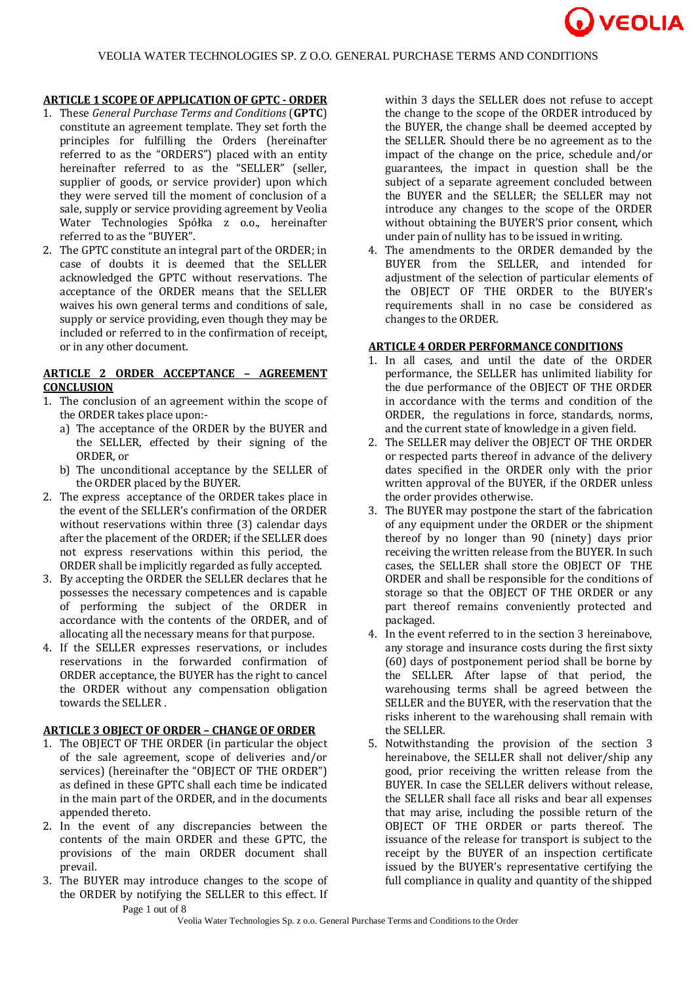

# **ARTICLE 1 SCOPE OF APPLICATION OF GPTC - ORDER**

- 1. These *General Purchase Terms and Conditions* (**GPTC**) constitute an agreement template. They set forth the principles for fulfilling the Orders (hereinafter referred to as the "ORDERS") placed with an entity hereinafter referred to as the "SELLER" (seller, supplier of goods, or service provider) upon which they were served till the moment of conclusion of a sale, supply or service providing agreement by Veolia Water Technologies Spółka z o.o., hereinafter referred to as the "BUYER".
- 2. The GPTC constitute an integral part of the ORDER; in case of doubts it is deemed that the SELLER acknowledged the GPTC without reservations. The acceptance of the ORDER means that the SELLER waives his own general terms and conditions of sale, supply or service providing, even though they may be included or referred to in the confirmation of receipt, or in any other document.

## **ARTICLE 2 ORDER ACCEPTANCE – AGREEMENT CONCLUSION**

- 1. The conclusion of an agreement within the scope of the ORDER takes place upon:
	- a) The acceptance of the ORDER by the BUYER and the SELLER, effected by their signing of the ORDER, or
	- b) The unconditional acceptance by the SELLER of the ORDER placed by the BUYER.
- 2. The express acceptance of the ORDER takes place in the event of the SELLER's confirmation of the ORDER without reservations within three (3) calendar days after the placement of the ORDER; if the SELLER does not express reservations within this period, the ORDER shall be implicitly regarded as fully accepted.
- 3. By accepting the ORDER the SELLER declares that he possesses the necessary competences and is capable of performing the subject of the ORDER in accordance with the contents of the ORDER, and of allocating all the necessary means for that purpose.
- 4. If the SELLER expresses reservations, or includes reservations in the forwarded confirmation of ORDER acceptance, the BUYER has the right to cancel the ORDER without any compensation obligation towards the SELLER .

### **ARTICLE 3 OBJECT OF ORDER – CHANGE OF ORDER**

- 1. The OBJECT OF THE ORDER (in particular the object of the sale agreement, scope of deliveries and/or services) (hereinafter the "OBJECT OF THE ORDER") as defined in these GPTC shall each time be indicated in the main part of the ORDER, and in the documents appended thereto.
- 2. In the event of any discrepancies between the contents of the main ORDER and these GPTC, the provisions of the main ORDER document shall prevail.
- 3. The BUYER may introduce changes to the scope of the ORDER by notifying the SELLER to this effect. If

within 3 days the SELLER does not refuse to accept the change to the scope of the ORDER introduced by the BUYER, the change shall be deemed accepted by the SELLER. Should there be no agreement as to the impact of the change on the price, schedule and/or guarantees, the impact in question shall be the subject of a separate agreement concluded between the BUYER and the SELLER; the SELLER may not introduce any changes to the scope of the ORDER without obtaining the BUYER'S prior consent, which under pain of nullity has to be issued in writing.

4. The amendments to the ORDER demanded by the BUYER from the SELLER, and intended for adjustment of the selection of particular elements of the OBJECT OF THE ORDER to the BUYER's requirements shall in no case be considered as changes to the ORDER.

### **ARTICLE 4 ORDER PERFORMANCE CONDITIONS**

- 1. In all cases, and until the date of the ORDER performance, the SELLER has unlimited liability for the due performance of the OBJECT OF THE ORDER in accordance with the terms and condition of the ORDER, the regulations in force, standards, norms, and the current state of knowledge in a given field.
- 2. The SELLER may deliver the OBJECT OF THE ORDER or respected parts thereof in advance of the delivery dates specified in the ORDER only with the prior written approval of the BUYER, if the ORDER unless the order provides otherwise.
- 3. The BUYER may postpone the start of the fabrication of any equipment under the ORDER or the shipment thereof by no longer than 90 (ninety) days prior receiving the written release from the BUYER. In such cases, the SELLER shall store the OBJECT OF THE ORDER and shall be responsible for the conditions of storage so that the OBJECT OF THE ORDER or any part thereof remains conveniently protected and packaged.
- 4. In the event referred to in the section 3 hereinabove, any storage and insurance costs during the first sixty (60) days of postponement period shall be borne by the SELLER. After lapse of that period, the warehousing terms shall be agreed between the SELLER and the BUYER, with the reservation that the risks inherent to the warehousing shall remain with the SELLER.
- 5. Notwithstanding the provision of the section 3 hereinabove, the SELLER shall not deliver/ship any good, prior receiving the written release from the BUYER. In case the SELLER delivers without release, the SELLER shall face all risks and bear all expenses that may arise, including the possible return of the OBJECT OF THE ORDER or parts thereof. The issuance of the release for transport is subject to the receipt by the BUYER of an inspection certificate issued by the BUYER's representative certifying the full compliance in quality and quantity of the shipped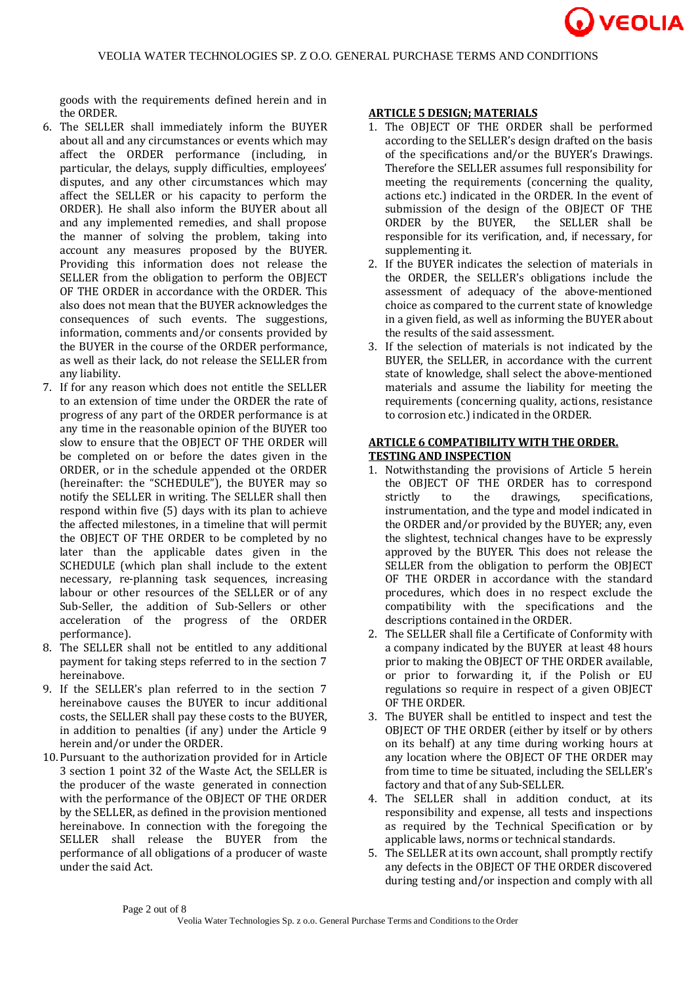

goods with the requirements defined herein and in the ORDER.

- 6. The SELLER shall immediately inform the BUYER about all and any circumstances or events which may affect the ORDER performance (including, in particular, the delays, supply difficulties, employees' disputes, and any other circumstances which may affect the SELLER or his capacity to perform the ORDER). He shall also inform the BUYER about all and any implemented remedies, and shall propose the manner of solving the problem, taking into account any measures proposed by the BUYER. Providing this information does not release the SELLER from the obligation to perform the OBJECT OF THE ORDER in accordance with the ORDER. This also does not mean that the BUYER acknowledges the consequences of such events. The suggestions, information, comments and/or consents provided by the BUYER in the course of the ORDER performance, as well as their lack, do not release the SELLER from any liability.
- 7. If for any reason which does not entitle the SELLER to an extension of time under the ORDER the rate of progress of any part of the ORDER performance is at any time in the reasonable opinion of the BUYER too slow to ensure that the OBJECT OF THE ORDER will be completed on or before the dates given in the ORDER, or in the schedule appended ot the ORDER (hereinafter: the "SCHEDULE"), the BUYER may so notify the SELLER in writing. The SELLER shall then respond within five (5) days with its plan to achieve the affected milestones, in a timeline that will permit the OBJECT OF THE ORDER to be completed by no later than the applicable dates given in the SCHEDULE (which plan shall include to the extent necessary, re-planning task sequences, increasing labour or other resources of the SELLER or of any Sub-Seller, the addition of Sub-Sellers or other acceleration of the progress of the ORDER performance).
- 8. The SELLER shall not be entitled to any additional payment for taking steps referred to in the section 7 hereinabove.
- 9. If the SELLER's plan referred to in the section 7 hereinabove causes the BUYER to incur additional costs, the SELLER shall pay these costs to the BUYER, in addition to penalties (if any) under the Article 9 herein and/or under the ORDER.
- 10.Pursuant to the authorization provided for in Article 3 section 1 point 32 of the Waste Act, the SELLER is the producer of the waste generated in connection with the performance of the OBJECT OF THE ORDER by the SELLER, as defined in the provision mentioned hereinabove. In connection with the foregoing the SELLER shall release the BUYER from the performance of all obligations of a producer of waste under the said Act.

# **ARTICLE 5 DESIGN; MATERIALS**

- 1. The OBJECT OF THE ORDER shall be performed according to the SELLER's design drafted on the basis of the specifications and/or the BUYER's Drawings. Therefore the SELLER assumes full responsibility for meeting the requirements (concerning the quality, actions etc.) indicated in the ORDER. In the event of submission of the design of the OBJECT OF THE ORDER by the BUYER, the SELLER shall be responsible for its verification, and, if necessary, for supplementing it.
- 2. If the BUYER indicates the selection of materials in the ORDER, the SELLER's obligations include the assessment of adequacy of the above-mentioned choice as compared to the current state of knowledge in a given field, as well as informing the BUYER about the results of the said assessment.
- 3. If the selection of materials is not indicated by the BUYER, the SELLER, in accordance with the current state of knowledge, shall select the above-mentioned materials and assume the liability for meeting the requirements (concerning quality, actions, resistance to corrosion etc.) indicated in the ORDER.

# **ARTICLE 6 COMPATIBILITY WITH THE ORDER. TESTING AND INSPECTION**

- 1. Notwithstanding the provisions of Article 5 herein the OBJECT OF THE ORDER has to correspond strictly to the drawings, specifications, instrumentation, and the type and model indicated in the ORDER and/or provided by the BUYER; any, even the slightest, technical changes have to be expressly approved by the BUYER. This does not release the SELLER from the obligation to perform the OBJECT OF THE ORDER in accordance with the standard procedures, which does in no respect exclude the compatibility with the specifications and the descriptions contained in the ORDER.
- 2. The SELLER shall file a Certificate of Conformity with a company indicated by the BUYER at least 48 hours prior to making the OBJECT OF THE ORDER available, or prior to forwarding it, if the Polish or EU regulations so require in respect of a given OBJECT OF THE ORDER.
- 3. The BUYER shall be entitled to inspect and test the OBJECT OF THE ORDER (either by itself or by others on its behalf) at any time during working hours at any location where the OBJECT OF THE ORDER may from time to time be situated, including the SELLER's factory and that of any Sub-SELLER.
- 4. The SELLER shall in addition conduct, at its responsibility and expense, all tests and inspections as required by the Technical Specification or by applicable laws, norms or technical standards.
- 5. The SELLER at its own account, shall promptly rectify any defects in the OBJECT OF THE ORDER discovered during testing and/or inspection and comply with all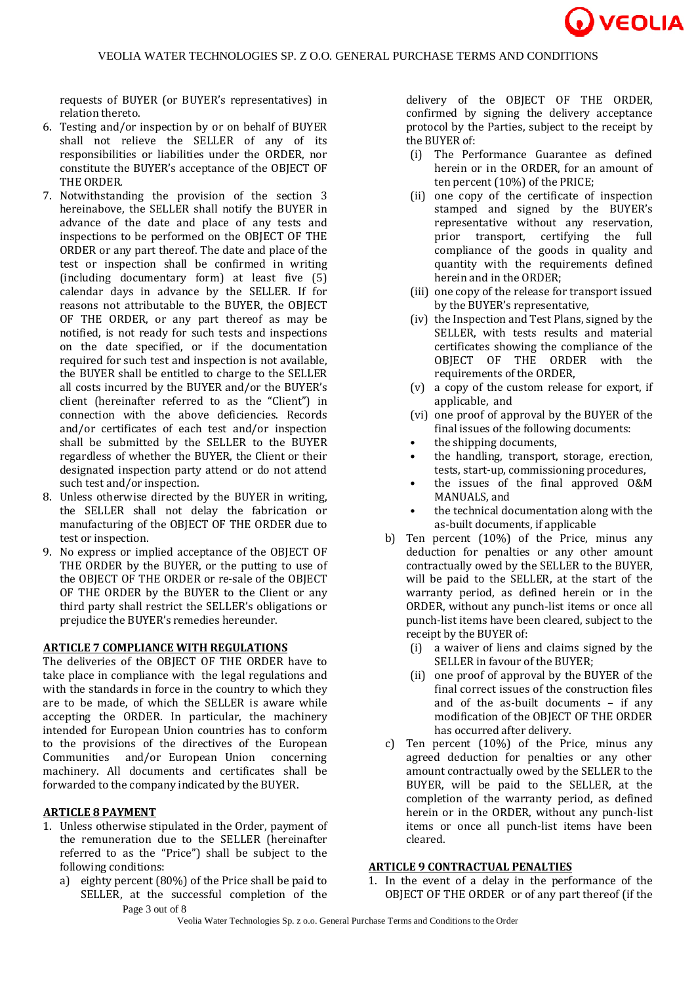

requests of BUYER (or BUYER's representatives) in relation thereto.

- 6. Testing and/or inspection by or on behalf of BUYER shall not relieve the SELLER of any of its responsibilities or liabilities under the ORDER, nor constitute the BUYER's acceptance of the OBJECT OF THE ORDER.
- 7. Notwithstanding the provision of the section 3 hereinabove, the SELLER shall notify the BUYER in advance of the date and place of any tests and inspections to be performed on the OBJECT OF THE ORDER or any part thereof. The date and place of the test or inspection shall be confirmed in writing (including documentary form) at least five (5) calendar days in advance by the SELLER. If for reasons not attributable to the BUYER, the OBJECT OF THE ORDER, or any part thereof as may be notified, is not ready for such tests and inspections on the date specified, or if the documentation required for such test and inspection is not available, the BUYER shall be entitled to charge to the SELLER all costs incurred by the BUYER and/or the BUYER's client (hereinafter referred to as the "Client") in connection with the above deficiencies. Records and/or certificates of each test and/or inspection shall be submitted by the SELLER to the BUYER regardless of whether the BUYER, the Client or their designated inspection party attend or do not attend such test and/or inspection.
- 8. Unless otherwise directed by the BUYER in writing, the SELLER shall not delay the fabrication or manufacturing of the OBJECT OF THE ORDER due to test or inspection.
- 9. No express or implied acceptance of the OBJECT OF THE ORDER by the BUYER, or the putting to use of the OBJECT OF THE ORDER or re-sale of the OBJECT OF THE ORDER by the BUYER to the Client or any third party shall restrict the SELLER's obligations or prejudice the BUYER's remedies hereunder.

# **ARTICLE 7 COMPLIANCE WITH REGULATIONS**

The deliveries of the OBJECT OF THE ORDER have to take place in compliance with the legal regulations and with the standards in force in the country to which they are to be made, of which the SELLER is aware while accepting the ORDER. In particular, the machinery intended for European Union countries has to conform to the provisions of the directives of the European Communities and/or European Union concerning machinery. All documents and certificates shall be forwarded to the company indicated by the BUYER.

#### **ARTICLE 8 PAYMENT**

- 1. Unless otherwise stipulated in the Order, payment of the remuneration due to the SELLER (hereinafter referred to as the "Price") shall be subject to the following conditions:
	- Page 3 out of 8 a) eighty percent (80%) of the Price shall be paid to SELLER, at the successful completion of the

delivery of the OBJECT OF THE ORDER, confirmed by signing the delivery acceptance protocol by the Parties, subject to the receipt by the BUYER of:

- (i) The Performance Guarantee as defined herein or in the ORDER, for an amount of ten percent (10%) of the PRICE;
- (ii) one copy of the certificate of inspection stamped and signed by the BUYER's representative without any reservation, prior transport, certifying the full compliance of the goods in quality and quantity with the requirements defined herein and in the ORDER;
- (iii) one copy of the release for transport issued by the BUYER's representative,
- (iv) the Inspection and Test Plans, signed by the SELLER, with tests results and material certificates showing the compliance of the OBJECT OF THE ORDER with the requirements of the ORDER,
- (v) a copy of the custom release for export, if applicable, and
- (vi) one proof of approval by the BUYER of the final issues of the following documents:
- the shipping documents.
- the handling, transport, storage, erection, tests, start-up, commissioning procedures,
- the issues of the final approved O&M MANUALS, and
- the technical documentation along with the as-built documents, if applicable
- b) Ten percent (10%) of the Price, minus any deduction for penalties or any other amount contractually owed by the SELLER to the BUYER, will be paid to the SELLER, at the start of the warranty period, as defined herein or in the ORDER, without any punch-list items or once all punch-list items have been cleared, subject to the receipt by the BUYER of:
	- (i) a waiver of liens and claims signed by the SELLER in favour of the BUYER;
	- (ii) one proof of approval by the BUYER of the final correct issues of the construction files and of the as-built documents – if any modification of the OBJECT OF THE ORDER has occurred after delivery.
- c) Ten percent (10%) of the Price, minus any agreed deduction for penalties or any other amount contractually owed by the SELLER to the BUYER, will be paid to the SELLER, at the completion of the warranty period, as defined herein or in the ORDER, without any punch-list items or once all punch-list items have been cleared.

# **ARTICLE 9 CONTRACTUAL PENALTIES**

1. In the event of a delay in the performance of the OBJECT OF THE ORDER or of any part thereof (if the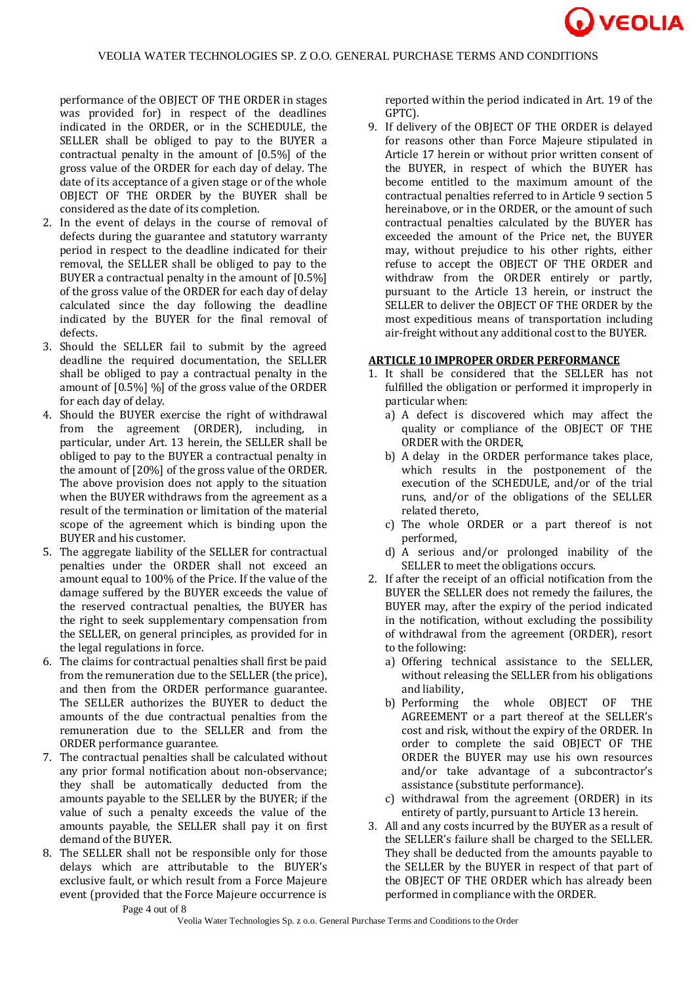

performance of the OBJECT OF THE ORDER in stages was provided for) in respect of the deadlines indicated in the ORDER, or in the SCHEDULE, the SELLER shall be obliged to pay to the BUYER a contractual penalty in the amount of [0.5%] of the gross value of the ORDER for each day of delay. The date of its acceptance of a given stage or of the whole OBJECT OF THE ORDER by the BUYER shall be considered as the date of its completion.

- 2. In the event of delays in the course of removal of defects during the guarantee and statutory warranty period in respect to the deadline indicated for their removal, the SELLER shall be obliged to pay to the BUYER a contractual penalty in the amount of [0.5%] of the gross value of the ORDER for each day of delay calculated since the day following the deadline indicated by the BUYER for the final removal of defects.
- 3. Should the SELLER fail to submit by the agreed deadline the required documentation, the SELLER shall be obliged to pay a contractual penalty in the amount of [0.5%] %] of the gross value of the ORDER for each day of delay.
- 4. Should the BUYER exercise the right of withdrawal from the agreement (ORDER), including, in particular, under Art. 13 herein, the SELLER shall be obliged to pay to the BUYER a contractual penalty in the amount of [20%] of the gross value of the ORDER. The above provision does not apply to the situation when the BUYER withdraws from the agreement as a result of the termination or limitation of the material scope of the agreement which is binding upon the BUYER and his customer.
- 5. The aggregate liability of the SELLER for contractual penalties under the ORDER shall not exceed an amount equal to 100% of the Price. If the value of the damage suffered by the BUYER exceeds the value of the reserved contractual penalties, the BUYER has the right to seek supplementary compensation from the SELLER, on general principles, as provided for in the legal regulations in force.
- 6. The claims for contractual penalties shall first be paid from the remuneration due to the SELLER (the price), and then from the ORDER performance guarantee. The SELLER authorizes the BUYER to deduct the amounts of the due contractual penalties from the remuneration due to the SELLER and from the ORDER performance guarantee.
- 7. The contractual penalties shall be calculated without any prior formal notification about non-observance; they shall be automatically deducted from the amounts payable to the SELLER by the BUYER; if the value of such a penalty exceeds the value of the amounts payable, the SELLER shall pay it on first demand of the BUYER.
- 8. The SELLER shall not be responsible only for those delays which are attributable to the BUYER's exclusive fault, or which result from a Force Majeure event (provided that the Force Majeure occurrence is

reported within the period indicated in Art. 19 of the GPTC).

9. If delivery of the OBJECT OF THE ORDER is delayed for reasons other than Force Majeure stipulated in Article 17 herein or without prior written consent of the BUYER, in respect of which the BUYER has become entitled to the maximum amount of the contractual penalties referred to in Article 9 section 5 hereinabove, or in the ORDER, or the amount of such contractual penalties calculated by the BUYER has exceeded the amount of the Price net, the BUYER may, without prejudice to his other rights, either refuse to accept the OBJECT OF THE ORDER and withdraw from the ORDER entirely or partly, pursuant to the Article 13 herein, or instruct the SELLER to deliver the OBJECT OF THE ORDER by the most expeditious means of transportation including air-freight without any additional cost to the BUYER.

#### **ARTICLE 10 IMPROPER ORDER PERFORMANCE**

- 1. It shall be considered that the SELLER has not fulfilled the obligation or performed it improperly in particular when:
	- a) A defect is discovered which may affect the quality or compliance of the OBJECT OF THE ORDER with the ORDER,
	- b) A delay in the ORDER performance takes place, which results in the postponement of the execution of the SCHEDULE, and/or of the trial runs, and/or of the obligations of the SELLER related thereto,
	- c) The whole ORDER or a part thereof is not performed,
	- d) A serious and/or prolonged inability of the SELLER to meet the obligations occurs.
- 2. If after the receipt of an official notification from the BUYER the SELLER does not remedy the failures, the BUYER may, after the expiry of the period indicated in the notification, without excluding the possibility of withdrawal from the agreement (ORDER), resort to the following:
	- a) Offering technical assistance to the SELLER, without releasing the SELLER from his obligations and liability,
	- b) Performing the whole OBJECT OF THE AGREEMENT or a part thereof at the SELLER's cost and risk, without the expiry of the ORDER. In order to complete the said OBJECT OF THE ORDER the BUYER may use his own resources and/or take advantage of a subcontractor's assistance (substitute performance).
	- c) withdrawal from the agreement (ORDER) in its entirety of partly, pursuant to Article 13 herein.
- 3. All and any costs incurred by the BUYER as a result of the SELLER's failure shall be charged to the SELLER. They shall be deducted from the amounts payable to the SELLER by the BUYER in respect of that part of the OBJECT OF THE ORDER which has already been performed in compliance with the ORDER.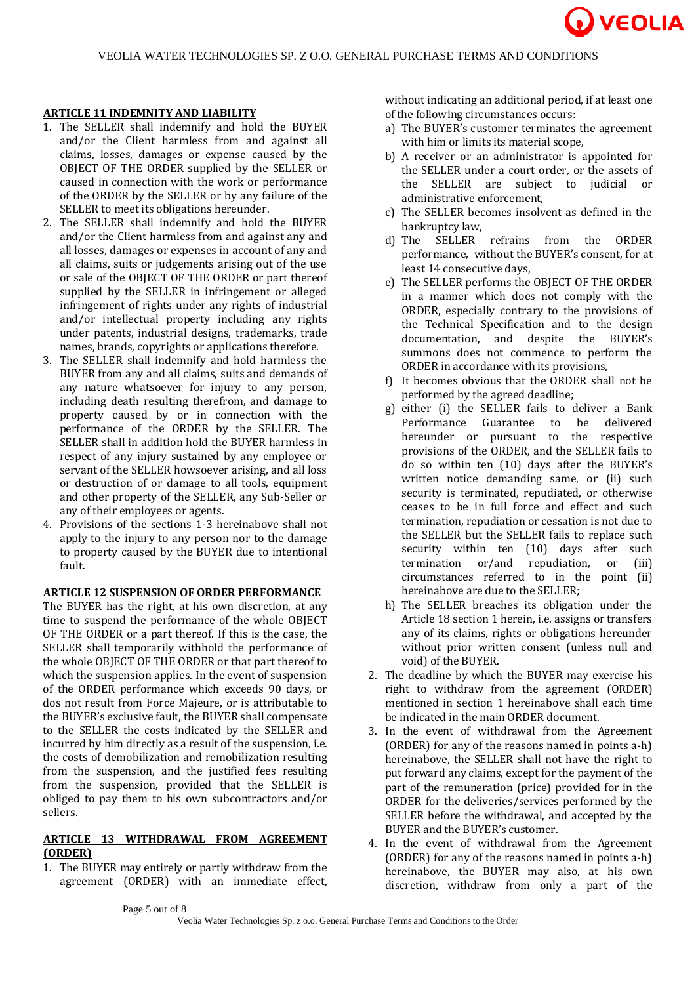

#### **ARTICLE 11 INDEMNITY AND LIABILITY**

- 1. The SELLER shall indemnify and hold the BUYER and/or the Client harmless from and against all claims, losses, damages or expense caused by the OBJECT OF THE ORDER supplied by the SELLER or caused in connection with the work or performance of the ORDER by the SELLER or by any failure of the SELLER to meet its obligations hereunder.
- 2. The SELLER shall indemnify and hold the BUYER and/or the Client harmless from and against any and all losses, damages or expenses in account of any and all claims, suits or judgements arising out of the use or sale of the OBJECT OF THE ORDER or part thereof supplied by the SELLER in infringement or alleged infringement of rights under any rights of industrial and/or intellectual property including any rights under patents, industrial designs, trademarks, trade names, brands, copyrights or applications therefore.
- 3. The SELLER shall indemnify and hold harmless the BUYER from any and all claims, suits and demands of any nature whatsoever for injury to any person, including death resulting therefrom, and damage to property caused by or in connection with the performance of the ORDER by the SELLER. The SELLER shall in addition hold the BUYER harmless in respect of any injury sustained by any employee or servant of the SELLER howsoever arising, and all loss or destruction of or damage to all tools, equipment and other property of the SELLER, any Sub-Seller or any of their employees or agents.
- 4. Provisions of the sections 1-3 hereinabove shall not apply to the injury to any person nor to the damage to property caused by the BUYER due to intentional fault.

#### **ARTICLE 12 SUSPENSION OF ORDER PERFORMANCE**

The BUYER has the right, at his own discretion, at any time to suspend the performance of the whole OBJECT OF THE ORDER or a part thereof. If this is the case, the SELLER shall temporarily withhold the performance of the whole OBJECT OF THE ORDER or that part thereof to which the suspension applies. In the event of suspension of the ORDER performance which exceeds 90 days, or dos not result from Force Majeure, or is attributable to the BUYER's exclusive fault, the BUYER shall compensate to the SELLER the costs indicated by the SELLER and incurred by him directly as a result of the suspension, i.e. the costs of demobilization and remobilization resulting from the suspension, and the justified fees resulting from the suspension, provided that the SELLER is obliged to pay them to his own subcontractors and/or sellers.

# **ARTICLE 13 WITHDRAWAL FROM AGREEMENT (ORDER)**

1. The BUYER may entirely or partly withdraw from the agreement (ORDER) with an immediate effect,

without indicating an additional period, if at least one of the following circumstances occurs:

- a) The BUYER's customer terminates the agreement with him or limits its material scope,
- b) A receiver or an administrator is appointed for the SELLER under a court order, or the assets of the SELLER are subject to judicial or administrative enforcement,
- c) The SELLER becomes insolvent as defined in the bankruptcy law,
- d) The SELLER refrains from the ORDER performance, without the BUYER's consent, for at least 14 consecutive days,
- e) The SELLER performs the OBJECT OF THE ORDER in a manner which does not comply with the ORDER, especially contrary to the provisions of the Technical Specification and to the design documentation, and despite the BUYER's summons does not commence to perform the ORDER in accordance with its provisions,
- f) It becomes obvious that the ORDER shall not be performed by the agreed deadline;
- g) either (i) the SELLER fails to deliver a Bank Performance Guarantee to be delivered hereunder or pursuant to the respective provisions of the ORDER, and the SELLER fails to do so within ten (10) days after the BUYER's written notice demanding same, or (ii) such security is terminated, repudiated, or otherwise ceases to be in full force and effect and such termination, repudiation or cessation is not due to the SELLER but the SELLER fails to replace such security within ten (10) days after such termination or/and repudiation, or (iii) circumstances referred to in the point (ii) hereinabove are due to the SELLER;
- h) The SELLER breaches its obligation under the Article 18 section 1 herein, i.e. assigns or transfers any of its claims, rights or obligations hereunder without prior written consent (unless null and void) of the BUYER.
- 2. The deadline by which the BUYER may exercise his right to withdraw from the agreement (ORDER) mentioned in section 1 hereinabove shall each time be indicated in the main ORDER document.
- 3. In the event of withdrawal from the Agreement (ORDER) for any of the reasons named in points a-h) hereinabove, the SELLER shall not have the right to put forward any claims, except for the payment of the part of the remuneration (price) provided for in the ORDER for the deliveries/services performed by the SELLER before the withdrawal, and accepted by the BUYER and the BUYER's customer.
- 4. In the event of withdrawal from the Agreement (ORDER) for any of the reasons named in points a-h) hereinabove, the BUYER may also, at his own discretion, withdraw from only a part of the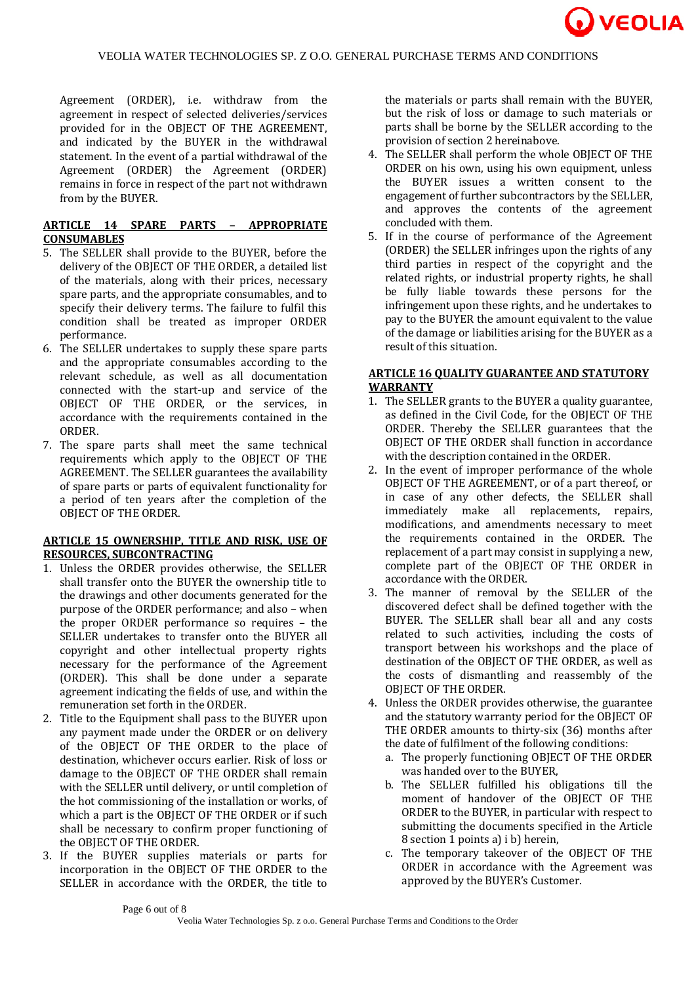

Agreement (ORDER), i.e. withdraw from the agreement in respect of selected deliveries/services provided for in the OBJECT OF THE AGREEMENT, and indicated by the BUYER in the withdrawal statement. In the event of a partial withdrawal of the Agreement (ORDER) the Agreement (ORDER) remains in force in respect of the part not withdrawn from by the BUYER.

## **ARTICLE 14 SPARE PARTS – APPROPRIATE CONSUMABLES**

- 5. The SELLER shall provide to the BUYER, before the delivery of the OBJECT OF THE ORDER, a detailed list of the materials, along with their prices, necessary spare parts, and the appropriate consumables, and to specify their delivery terms. The failure to fulfil this condition shall be treated as improper ORDER performance.
- 6. The SELLER undertakes to supply these spare parts and the appropriate consumables according to the relevant schedule, as well as all documentation connected with the start-up and service of the OBJECT OF THE ORDER, or the services, in accordance with the requirements contained in the ORDER.
- 7. The spare parts shall meet the same technical requirements which apply to the OBJECT OF THE AGREEMENT. The SELLER guarantees the availability of spare parts or parts of equivalent functionality for a period of ten years after the completion of the OBJECT OF THE ORDER.

## **ARTICLE 15 OWNERSHIP, TITLE AND RISK, USE OF RESOURCES, SUBCONTRACTING**

- 1. Unless the ORDER provides otherwise, the SELLER shall transfer onto the BUYER the ownership title to the drawings and other documents generated for the purpose of the ORDER performance; and also – when the proper ORDER performance so requires – the SELLER undertakes to transfer onto the BUYER all copyright and other intellectual property rights necessary for the performance of the Agreement (ORDER). This shall be done under a separate agreement indicating the fields of use, and within the remuneration set forth in the ORDER.
- 2. Title to the Equipment shall pass to the BUYER upon any payment made under the ORDER or on delivery of the OBJECT OF THE ORDER to the place of destination, whichever occurs earlier. Risk of loss or damage to the OBJECT OF THE ORDER shall remain with the SELLER until delivery, or until completion of the hot commissioning of the installation or works, of which a part is the OBJECT OF THE ORDER or if such shall be necessary to confirm proper functioning of the OBJECT OF THE ORDER.
- 3. If the BUYER supplies materials or parts for incorporation in the OBJECT OF THE ORDER to the SELLER in accordance with the ORDER, the title to

the materials or parts shall remain with the BUYER, but the risk of loss or damage to such materials or parts shall be borne by the SELLER according to the provision of section 2 hereinabove.

- 4. The SELLER shall perform the whole OBJECT OF THE ORDER on his own, using his own equipment, unless the BUYER issues a written consent to the engagement of further subcontractors by the SELLER, and approves the contents of the agreement concluded with them.
- 5. If in the course of performance of the Agreement (ORDER) the SELLER infringes upon the rights of any third parties in respect of the copyright and the related rights, or industrial property rights, he shall be fully liable towards these persons for the infringement upon these rights, and he undertakes to pay to the BUYER the amount equivalent to the value of the damage or liabilities arising for the BUYER as a result of this situation.

# **ARTICLE 16 QUALITY GUARANTEE AND STATUTORY WARRANTY**

- 1. The SELLER grants to the BUYER a quality guarantee, as defined in the Civil Code, for the OBJECT OF THE ORDER. Thereby the SELLER guarantees that the OBJECT OF THE ORDER shall function in accordance with the description contained in the ORDER.
- 2. In the event of improper performance of the whole OBJECT OF THE AGREEMENT, or of a part thereof, or in case of any other defects, the SELLER shall immediately make all replacements, repairs, modifications, and amendments necessary to meet the requirements contained in the ORDER. The replacement of a part may consist in supplying a new, complete part of the OBJECT OF THE ORDER in accordance with the ORDER.
- 3. The manner of removal by the SELLER of the discovered defect shall be defined together with the BUYER. The SELLER shall bear all and any costs related to such activities, including the costs of transport between his workshops and the place of destination of the OBJECT OF THE ORDER, as well as the costs of dismantling and reassembly of the OBJECT OF THE ORDER.
- 4. Unless the ORDER provides otherwise, the guarantee and the statutory warranty period for the OBJECT OF THE ORDER amounts to thirty-six (36) months after the date of fulfilment of the following conditions:
	- a. The properly functioning OBJECT OF THE ORDER was handed over to the BUYER,
	- b. The SELLER fulfilled his obligations till the moment of handover of the OBJECT OF THE ORDER to the BUYER, in particular with respect to submitting the documents specified in the Article 8 section 1 points a) i b) herein,
	- c. The temporary takeover of the OBJECT OF THE ORDER in accordance with the Agreement was approved by the BUYER's Customer.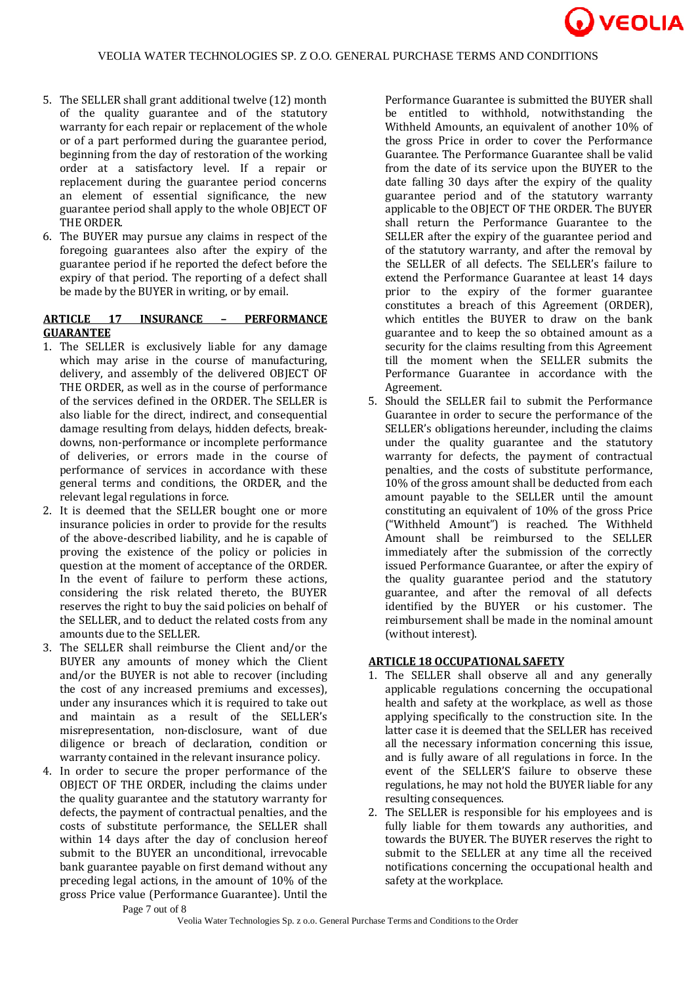

- 5. The SELLER shall grant additional twelve (12) month of the quality guarantee and of the statutory warranty for each repair or replacement of the whole or of a part performed during the guarantee period, beginning from the day of restoration of the working order at a satisfactory level. If a repair or replacement during the guarantee period concerns an element of essential significance, the new guarantee period shall apply to the whole OBJECT OF THE ORDER.
- 6. The BUYER may pursue any claims in respect of the foregoing guarantees also after the expiry of the guarantee period if he reported the defect before the expiry of that period. The reporting of a defect shall be made by the BUYER in writing, or by email.

# **ARTICLE 17 INSURANCE – PERFORMANCE GUARANTEE**

- 1. The SELLER is exclusively liable for any damage which may arise in the course of manufacturing, delivery, and assembly of the delivered OBJECT OF THE ORDER, as well as in the course of performance of the services defined in the ORDER. The SELLER is also liable for the direct, indirect, and consequential damage resulting from delays, hidden defects, breakdowns, non-performance or incomplete performance of deliveries, or errors made in the course of performance of services in accordance with these general terms and conditions, the ORDER, and the relevant legal regulations in force.
- 2. It is deemed that the SELLER bought one or more insurance policies in order to provide for the results of the above-described liability, and he is capable of proving the existence of the policy or policies in question at the moment of acceptance of the ORDER. In the event of failure to perform these actions, considering the risk related thereto, the BUYER reserves the right to buy the said policies on behalf of the SELLER, and to deduct the related costs from any amounts due to the SELLER.
- 3. The SELLER shall reimburse the Client and/or the BUYER any amounts of money which the Client and/or the BUYER is not able to recover (including the cost of any increased premiums and excesses), under any insurances which it is required to take out and maintain as a result of the SELLER's misrepresentation, non-disclosure, want of due diligence or breach of declaration, condition or warranty contained in the relevant insurance policy.
- 4. In order to secure the proper performance of the OBJECT OF THE ORDER, including the claims under the quality guarantee and the statutory warranty for defects, the payment of contractual penalties, and the costs of substitute performance, the SELLER shall within 14 days after the day of conclusion hereof submit to the BUYER an unconditional, irrevocable bank guarantee payable on first demand without any preceding legal actions, in the amount of 10% of the gross Price value (Performance Guarantee). Until the

Performance Guarantee is submitted the BUYER shall be entitled to withhold, notwithstanding the Withheld Amounts, an equivalent of another 10% of the gross Price in order to cover the Performance Guarantee. The Performance Guarantee shall be valid from the date of its service upon the BUYER to the date falling 30 days after the expiry of the quality guarantee period and of the statutory warranty applicable to the OBJECT OF THE ORDER. The BUYER shall return the Performance Guarantee to the SELLER after the expiry of the guarantee period and of the statutory warranty, and after the removal by the SELLER of all defects. The SELLER's failure to extend the Performance Guarantee at least 14 days prior to the expiry of the former guarantee constitutes a breach of this Agreement (ORDER), which entitles the BUYER to draw on the bank guarantee and to keep the so obtained amount as a security for the claims resulting from this Agreement till the moment when the SELLER submits the Performance Guarantee in accordance with the Agreement.

5. Should the SELLER fail to submit the Performance Guarantee in order to secure the performance of the SELLER's obligations hereunder, including the claims under the quality guarantee and the statutory warranty for defects, the payment of contractual penalties, and the costs of substitute performance, 10% of the gross amount shall be deducted from each amount payable to the SELLER until the amount constituting an equivalent of 10% of the gross Price ("Withheld Amount") is reached. The Withheld Amount shall be reimbursed to the SELLER immediately after the submission of the correctly issued Performance Guarantee, or after the expiry of the quality guarantee period and the statutory guarantee, and after the removal of all defects identified by the BUYER or his customer. The reimbursement shall be made in the nominal amount (without interest).

# **ARTICLE 18 OCCUPATIONAL SAFETY**

- 1. The SELLER shall observe all and any generally applicable regulations concerning the occupational health and safety at the workplace, as well as those applying specifically to the construction site. In the latter case it is deemed that the SELLER has received all the necessary information concerning this issue, and is fully aware of all regulations in force. In the event of the SELLER'S failure to observe these regulations, he may not hold the BUYER liable for any resulting consequences.
- 2. The SELLER is responsible for his employees and is fully liable for them towards any authorities, and towards the BUYER. The BUYER reserves the right to submit to the SELLER at any time all the received notifications concerning the occupational health and safety at the workplace.

Page 7 out of 8